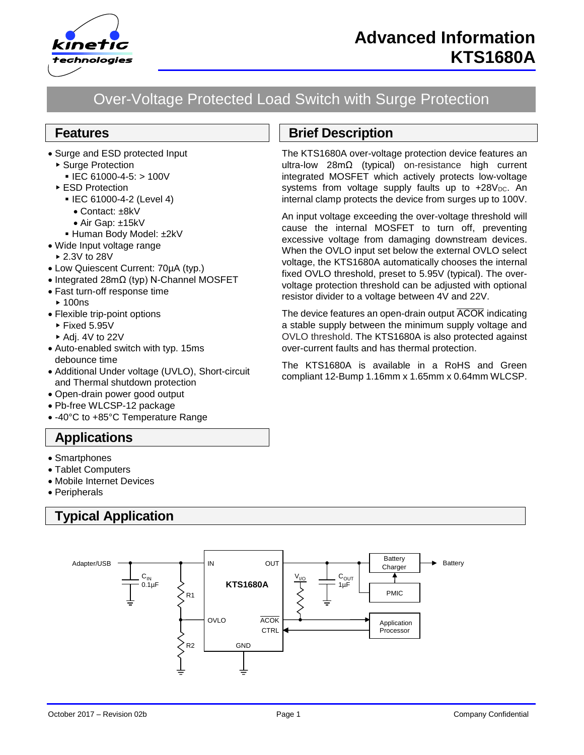

# Over-Voltage Protected Load Switch with Surge Protection

### **Features**

- Surge and ESD protected Input
	- ▶ Surge Protection
		- $\blacksquare$  IEC 61000-4-5: > 100V
	- ▶ ESD Protection
		- IEC 61000-4-2 (Level 4)
			- Contact: ±8kV
		- Air Gap: ±15kV
		- Human Body Model: ±2kV
- Wide Input voltage range
	- 2.3V to 28V
- Low Quiescent Current: 70µA (typ.)
- Integrated 28mΩ (typ) N-Channel MOSFET
- Fast turn-off response time
	- $\blacktriangleright$  100ns
- Flexible trip-point options
	- $\blacktriangleright$  Fixed 5.95V
	- $\blacktriangleright$  Adi. 4V to 22V
- Auto-enabled switch with typ. 15ms debounce time
- Additional Under voltage (UVLO), Short-circuit and Thermal shutdown protection
- Open-drain power good output
- Pb-free WLCSP-12 package
- -40°C to +85°C Temperature Range

### **Applications**

- Smartphones
- Tablet Computers
- Mobile Internet Devices
- Peripherals

# **Typical Application**



## **Brief Description**

The KTS1680A over-voltage protection device features an ultra-low 28mΩ (typical) on-resistance high current integrated MOSFET which actively protects low-voltage systems from voltage supply faults up to  $+28V_{DC}$ . An internal clamp protects the device from surges up to 100V.

An input voltage exceeding the over-voltage threshold will cause the internal MOSFET to turn off, preventing excessive voltage from damaging downstream devices. When the OVLO input set below the external OVLO select voltage, the KTS1680A automatically chooses the internal fixed OVLO threshold, preset to 5.95V (typical). The overvoltage protection threshold can be adjusted with optional resistor divider to a voltage between 4V and 22V.

The device features an open-drain output ACOK indicating a stable supply between the minimum supply voltage and OVLO threshold. The KTS1680A is also protected against over-current faults and has thermal protection.

The KTS1680A is available in a RoHS and Green compliant 12-Bump 1.16mm x 1.65mm x 0.64mm WLCSP.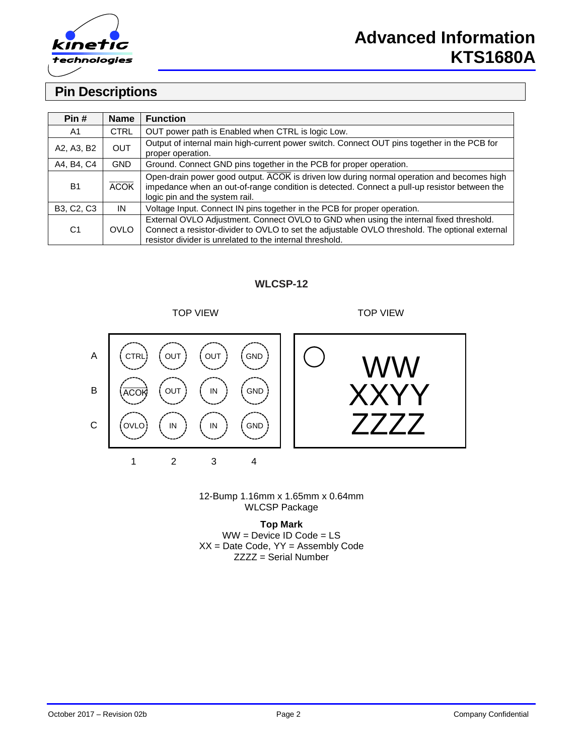

### **Pin Descriptions**

| Pin#           | <b>Name</b> | <b>Function</b>                                                                                                                                                                                                                                      |
|----------------|-------------|------------------------------------------------------------------------------------------------------------------------------------------------------------------------------------------------------------------------------------------------------|
| A1             | <b>CTRL</b> | OUT power path is Enabled when CTRL is logic Low.                                                                                                                                                                                                    |
| A2, A3, B2     | <b>OUT</b>  | Output of internal main high-current power switch. Connect OUT pins together in the PCB for<br>proper operation.                                                                                                                                     |
| A4, B4, C4     | GND.        | Ground. Connect GND pins together in the PCB for proper operation.                                                                                                                                                                                   |
| <b>B1</b>      | <b>ACOK</b> | Open-drain power good output. ACOK is driven low during normal operation and becomes high<br>impedance when an out-of-range condition is detected. Connect a pull-up resistor between the<br>logic pin and the system rail.                          |
| B3, C2, C3     | IN          | Voltage Input. Connect IN pins together in the PCB for proper operation.                                                                                                                                                                             |
| C <sub>1</sub> | <b>OVLO</b> | External OVLO Adjustment. Connect OVLO to GND when using the internal fixed threshold.<br>Connect a resistor-divider to OVLO to set the adjustable OVLO threshold. The optional external<br>resistor divider is unrelated to the internal threshold. |

#### **WLCSP-12**

TOP VIEW TOP VIEW





12-Bump 1.16mm x 1.65mm x 0.64mm WLCSP Package

**Top Mark** WW = Device ID Code = LS  $XX =$  Date Code,  $YY =$  Assembly Code ZZZZ = Serial Number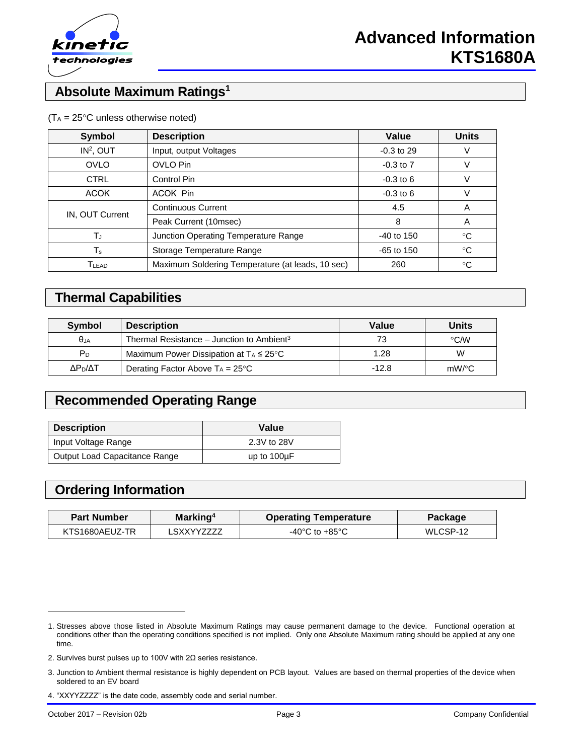

### **Absolute Maximum Ratings<sup>1</sup>**

| <b>Symbol</b>                | <b>Description</b>                               | Value         | <b>Units</b> |
|------------------------------|--------------------------------------------------|---------------|--------------|
| $IN2$ , OUT                  | Input, output Voltages                           | $-0.3$ to 29  |              |
| <b>OVLO</b>                  | OVLO Pin                                         | $-0.3$ to $7$ | V            |
| <b>CTRL</b>                  | Control Pin                                      |               | V            |
| <b>ACOK</b>                  | ACOK Pin                                         |               | V            |
| IN, OUT Current              | <b>Continuous Current</b>                        | 4.5           | A            |
|                              | Peak Current (10msec)                            | 8             | A            |
| TJ                           | Junction Operating Temperature Range             | $-40$ to 150  | °C           |
| Ts                           | Storage Temperature Range                        |               | $^{\circ}C$  |
| $\mathsf{T}_{\mathsf{LEAD}}$ | Maximum Soldering Temperature (at leads, 10 sec) | 260           | °C           |

#### $(T_A = 25^{\circ}C$  unless otherwise noted)

### **Thermal Capabilities**

| Symbol              | <b>Description</b>                                    | Value   | <b>Units</b> |  |
|---------------------|-------------------------------------------------------|---------|--------------|--|
| $\theta$ JA         | Thermal Resistance – Junction to Ambient <sup>3</sup> | 73      | $\circ$ CMV  |  |
| P <sub>D</sub>      | Maximum Power Dissipation at $T_A \leq 25^{\circ}C$   | 1.28    | W            |  |
| ΔΡ <sub>Ρ</sub> /ΔΤ | Derating Factor Above $T_A = 25^{\circ}C$             | $-12.8$ | $mW$ /°C     |  |

### **Recommended Operating Range**

| <b>Description</b>            | Value            |
|-------------------------------|------------------|
| Input Voltage Range           | 2.3V to 28V      |
| Output Load Capacitance Range | up to $100\mu F$ |

### **Ordering Information**

| Marking <sup>4</sup><br><b>Part Number</b> |             | <b>Operating Temperature</b>       | <b>Package</b> |  |
|--------------------------------------------|-------------|------------------------------------|----------------|--|
| KTS1680AEUZ-TR                             | I SXXYY7777 | $-40^{\circ}$ C to $+85^{\circ}$ C | WLCSP-12       |  |

l

<sup>1.</sup> Stresses above those listed in Absolute Maximum Ratings may cause permanent damage to the device. Functional operation at conditions other than the operating conditions specified is not implied. Only one Absolute Maximum rating should be applied at any one time.

<sup>2.</sup> Survives burst pulses up to 100V with 2Ω series resistance.

<sup>3.</sup> Junction to Ambient thermal resistance is highly dependent on PCB layout. Values are based on thermal properties of the device when soldered to an EV board

<sup>4.</sup> "XXYYZZZZ" is the date code, assembly code and serial number.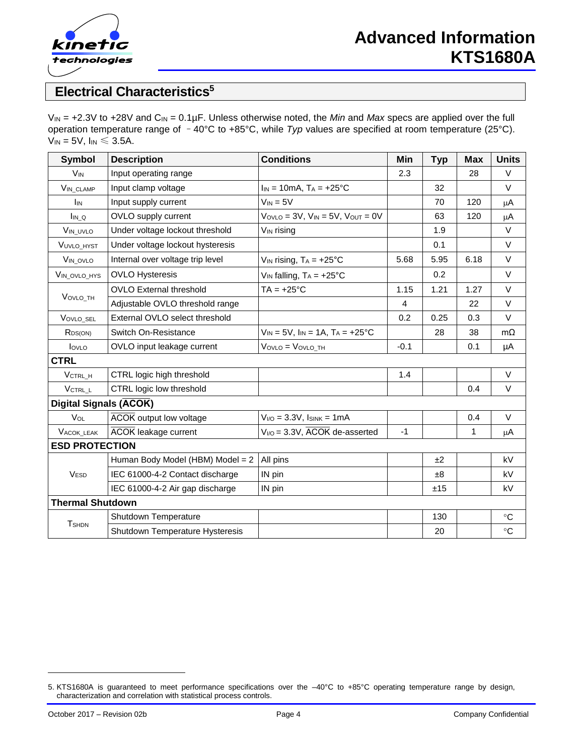

### **Electrical Characteristics<sup>5</sup>**

V<sub>IN</sub> = +2.3V to +28V and C<sub>IN</sub> = 0.1µF. Unless otherwise noted, the *Min* and *Max* specs are applied over the full operation temperature range of –40°C to +85°C, while *Typ* values are specified at room temperature (25°C).  $V_{IN} = 5V$ ,  $I_{IN} \leq 3.5A$ .

| <b>Symbol</b>                 | <b>Description</b>               | <b>Conditions</b>                                | Min    | <b>Typ</b> | <b>Max</b>   | <b>Units</b> |  |
|-------------------------------|----------------------------------|--------------------------------------------------|--------|------------|--------------|--------------|--|
| <b>V<sub>IN</sub></b>         | Input operating range            |                                                  | 2.3    |            | 28           | V            |  |
| <b>VIN CLAMP</b>              | Input clamp voltage              | $I_{IN} = 10mA$ , $T_A = +25°C$                  |        | 32         |              | $\vee$       |  |
| <b>I</b> IN                   | Input supply current             | $V_{IN} = 5V$                                    |        | 70         | 120          | $\mu$ A      |  |
| $I_{IN\_Q}$                   | OVLO supply current              | $V_{OVLO} = 3V$ , $V_{IN} = 5V$ , $V_{OUT} = 0V$ |        | 63         | 120          | $\mu$ A      |  |
| VIN_UVLO                      | Under voltage lockout threshold  | V <sub>IN</sub> rising                           |        | 1.9        |              | $\vee$       |  |
| VUVLO_HYST                    | Under voltage lockout hysteresis |                                                  |        | 0.1        |              | $\vee$       |  |
| VIN_OVLO                      | Internal over voltage trip level | $V_{IN}$ rising, $T_A = +25^{\circ}C$            | 5.68   | 5.95       | 6.18         | $\vee$       |  |
| VIN_OVLO_HYS                  | <b>OVLO Hysteresis</b>           | $V_{IN}$ falling, $T_A = +25^{\circ}C$           |        | 0.2        |              | $\vee$       |  |
|                               | <b>OVLO External threshold</b>   | $TA = +25^{\circ}C$                              | 1.15   | 1.21       | 1.27         | $\vee$       |  |
| VOVLO_TH                      | Adjustable OVLO threshold range  |                                                  | 4      |            | 22           | $\vee$       |  |
| VOVLO_SEL                     | External OVLO select threshold   |                                                  | 0.2    | 0.25       | 0.3          | $\vee$       |  |
| R <sub>DS(ON)</sub>           | Switch On-Resistance             | $V_{IN} = 5V$ , $I_{IN} = 1A$ , $T_A = +25$ °C   |        | 28         | 38           | $m\Omega$    |  |
| lovLo                         | OVLO input leakage current       | $V_{OVLO} = V_{OVLO_TH}$                         | $-0.1$ |            | 0.1          | μA           |  |
| <b>CTRL</b>                   |                                  |                                                  |        |            |              |              |  |
| VCTRL H                       | CTRL logic high threshold        |                                                  | 1.4    |            |              | $\vee$       |  |
| $V_{\text{CTRL\_L}}$          | CTRL logic low threshold         |                                                  |        |            | 0.4          | $\vee$       |  |
| <b>Digital Signals (ACOK)</b> |                                  |                                                  |        |            |              |              |  |
| VOL                           | <b>ACOK</b> output low voltage   | $V_{I/O} = 3.3V$ , $I_{SINK} = 1mA$              |        |            | 0.4          | $\vee$       |  |
| VACOK_LEAK                    | <b>ACOK</b> leakage current      | $V_{I/O}$ = 3.3V, $\overline{ACOK}$ de-asserted  | $-1$   |            | $\mathbf{1}$ | μA           |  |
| <b>ESD PROTECTION</b>         |                                  |                                                  |        |            |              |              |  |
|                               | Human Body Model (HBM) Model = 2 | All pins                                         |        | ±2         |              | kV           |  |
| <b>VESD</b>                   | IEC 61000-4-2 Contact discharge  | IN pin                                           |        | $\pm 8$    |              | kV           |  |
|                               | IEC 61000-4-2 Air gap discharge  | IN pin                                           |        | ±15        |              | kV           |  |
|                               | <b>Thermal Shutdown</b>          |                                                  |        |            |              |              |  |
| <b>T</b> SHDN                 | Shutdown Temperature             |                                                  |        | 130        |              | $^{\circ}C$  |  |
|                               | Shutdown Temperature Hysteresis  |                                                  |        | 20         |              | $\circ$ C    |  |

l

<sup>5.</sup> KTS1680A is guaranteed to meet performance specifications over the –40°C to +85°C operating temperature range by design, characterization and correlation with statistical process controls.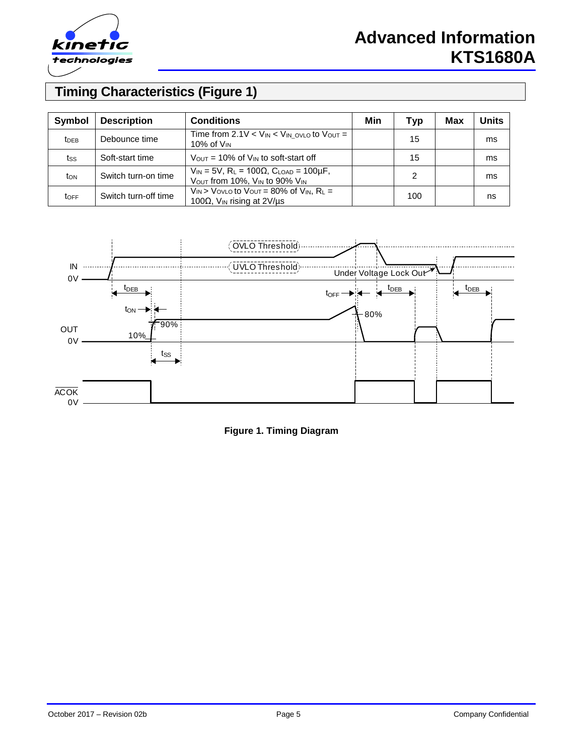

# **Advanced Information KTS1680A**

# **Timing Characteristics (Figure 1)**

| Symbol                  | <b>Description</b>   | <b>Conditions</b>                                                                                                | Min | Typ | Max | <b>Units</b> |
|-------------------------|----------------------|------------------------------------------------------------------------------------------------------------------|-----|-----|-----|--------------|
| <b>t</b> <sub>DEB</sub> | Debounce time        | Time from 2.1V $\lt$ V <sub>IN</sub> $\lt$ V <sub>IN</sub> ovLo to Vout =<br>10% of $V_{IN}$                     |     | 15  |     | ms           |
| tss                     | Soft-start time      | $V_{\text{OUT}}$ = 10% of $V_{\text{IN}}$ to soft-start off                                                      |     | 15  |     | ms           |
| ton                     | Switch turn-on time  | $V_{IN}$ = 5V, R <sub>L</sub> = 100 $\Omega$ , C <sub>LOAD</sub> = 100 $\mu$ F,<br>VOUT from 10%, VIN to 90% VIN |     | 2   |     | ms           |
| <b>TOFF</b>             | Switch turn-off time | $V_{IN}$ > Vovlo to Vout = 80% of $V_{IN}$ , R <sub>L</sub> =<br>100 $\Omega$ , V <sub>IN</sub> rising at 2V/us  |     | 100 |     | ns           |



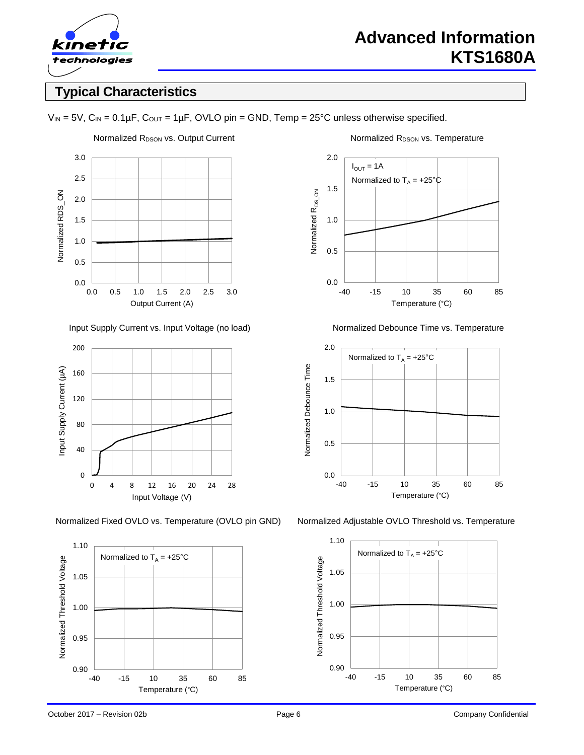

### **Typical Characteristics**

 $V_{IN} = 5V$ ,  $C_{IN} = 0.1 \mu F$ ,  $C_{OUT} = 1 \mu F$ , OVLO pin = GND, Temp = 25°C unless otherwise specified.



Input Supply Current vs. Input Voltage (no load) Normalized Debounce Time vs. Temperature





2.0  $I_{\text{OUT}} = 1A$ Normalized to  $T_A = +25^\circ \text{C}$ 1.5 Normalized R<sub>DS\_ON</sub> Normalized R<sub>DS\_ON</sub> 1.0 0.5 0.0 -40 -15 10 35 60 85 Temperature (°C)



Normalized Fixed OVLO vs. Temperature (OVLO pin GND) Normalized Adjustable OVLO Threshold vs. Temperature

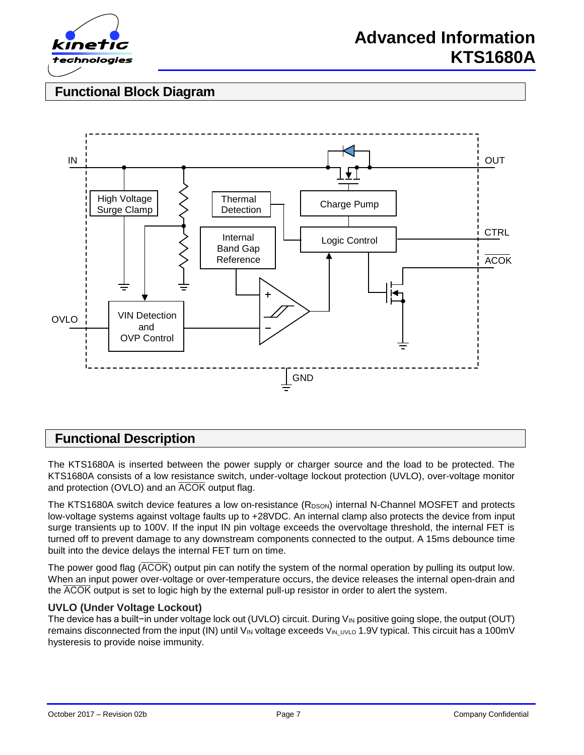

### **Functional Block Diagram**



### **Functional Description**

The KTS1680A is inserted between the power supply or charger source and the load to be protected. The KTS1680A consists of a low resistance switch, under-voltage lockout protection (UVLO), over-voltage monitor and protection (OVLO) and an  $\overline{ACOK}$  output flag.

The KTS1680A switch device features a low on-resistance  $(R_{DSON})$  internal N-Channel MOSFET and protects low-voltage systems against voltage faults up to +28VDC. An internal clamp also protects the device from input surge transients up to 100V. If the input IN pin voltage exceeds the overvoltage threshold, the internal FET is turned off to prevent damage to any downstream components connected to the output. A 15ms debounce time built into the device delays the internal FET turn on time.

The power good flag  $\overline{(ACOK)}$  output pin can notify the system of the normal operation by pulling its output low. When an input power over-voltage or over-temperature occurs, the device releases the internal open-drain and the ACOK output is set to logic high by the external pull-up resistor in order to alert the system.

#### **UVLO (Under Voltage Lockout)**

The device has a built−in under voltage lock out (UVLO) circuit. During V<sub>IN</sub> positive going slope, the output (OUT) remains disconnected from the input (IN) until V<sub>IN</sub> voltage exceeds V<sub>IN UVLO</sub> 1.9V typical. This circuit has a 100mV hysteresis to provide noise immunity.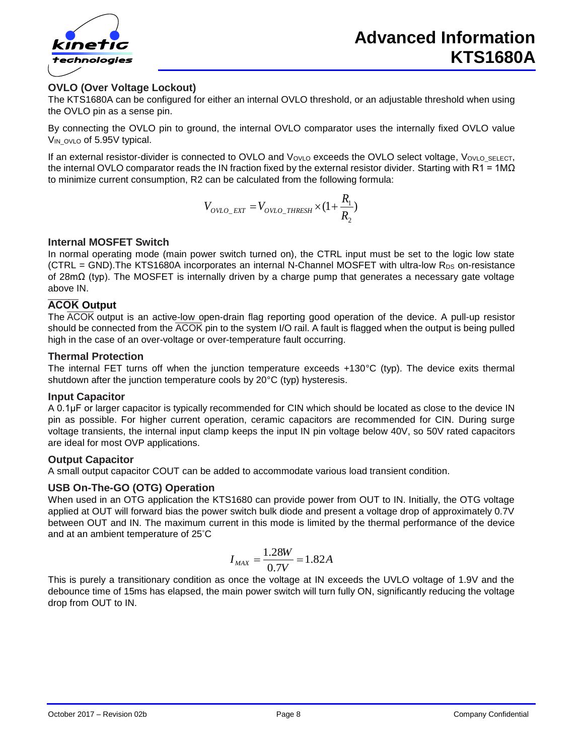

#### **OVLO (Over Voltage Lockout)**

The KTS1680A can be configured for either an internal OVLO threshold, or an adjustable threshold when using the OVLO pin as a sense pin.

By connecting the OVLO pin to ground, the internal OVLO comparator uses the internally fixed OVLO value V<sub>IN</sub> ovlo of 5.95V typical.

If an external resistor-divider is connected to OVLO and VovLo exceeds the OVLO select voltage, VovLo\_SELECT, the internal OVLO comparator reads the IN fraction fixed by the external resistor divider. Starting with R1 = 1M $\Omega$ to minimize current consumption, R2 can be calculated from the following formula:

$$
V_{OVLO\_EXT} = V_{OVLO\_THRESH} \times (1 + \frac{R_1}{R_2})
$$

#### **Internal MOSFET Switch**

In normal operating mode (main power switch turned on), the CTRL input must be set to the logic low state  $(CTRL = GND)$ . The KTS1680A incorporates an internal N-Channel MOSFET with ultra-low R<sub>DS</sub> on-resistance of 28mΩ (typ). The MOSFET is internally driven by a charge pump that generates a necessary gate voltage above IN.

#### **ACOK** Output

The  $\overline{ACOK}$  output is an active-low open-drain flag reporting good operation of the device. A pull-up resistor should be connected from the  $\overline{ACOK}$  pin to the system I/O rail. A fault is flagged when the output is being pulled high in the case of an over-voltage or over-temperature fault occurring.

#### **Thermal Protection**

The internal FET turns off when the junction temperature exceeds +130°C (typ). The device exits thermal shutdown after the junction temperature cools by 20°C (typ) hysteresis.

#### **Input Capacitor**

A 0.1μF or larger capacitor is typically recommended for CIN which should be located as close to the device IN pin as possible. For higher current operation, ceramic capacitors are recommended for CIN. During surge voltage transients, the internal input clamp keeps the input IN pin voltage below 40V, so 50V rated capacitors are ideal for most OVP applications.

#### **Output Capacitor**

A small output capacitor COUT can be added to accommodate various load transient condition.

#### **USB On-The-GO (OTG) Operation**

When used in an OTG application the KTS1680 can provide power from OUT to IN. Initially, the OTG voltage applied at OUT will forward bias the power switch bulk diode and present a voltage drop of approximately 0.7V between OUT and IN. The maximum current in this mode is limited by the thermal performance of the device and at an ambient temperature of 25°C

$$
I_{MAX} = \frac{1.28W}{0.7V} = 1.82A
$$

This is purely a transitionary condition as once the voltage at IN exceeds the UVLO voltage of 1.9V and the debounce time of 15ms has elapsed, the main power switch will turn fully ON, significantly reducing the voltage drop from OUT to IN.